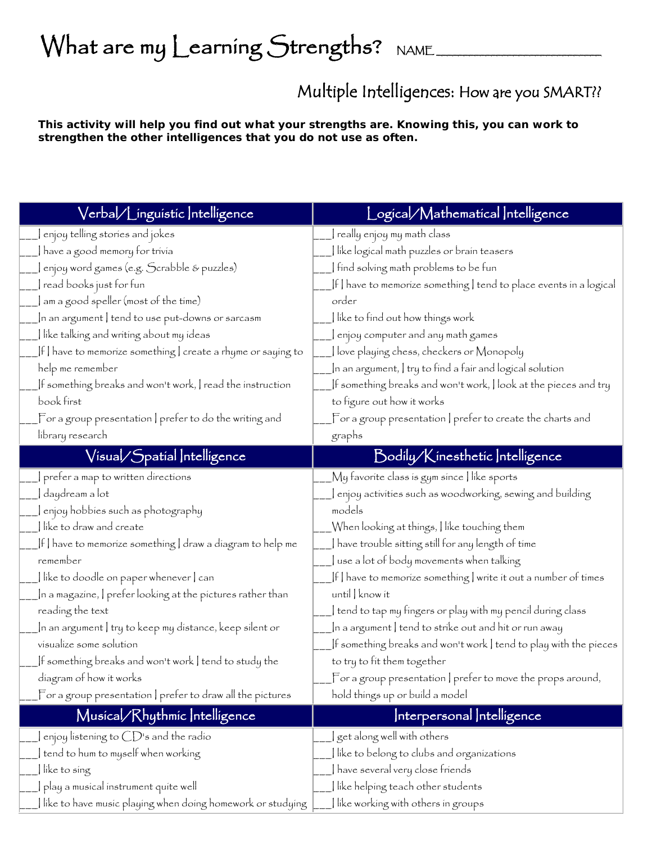# What are my Learning Strengths? NAME

## Multiple Intelligences: How are you SMART??

**This activity will help you find out what your strengths are. Knowing this, you can work to strengthen the other intelligences that you do not use as often.** 

| Verbal/Linguistic Intelligence                                                                                    | Logical/Mathematical Intelligence                                                 |
|-------------------------------------------------------------------------------------------------------------------|-----------------------------------------------------------------------------------|
| enjoy telling stories and jokes                                                                                   | really enjoy my math class                                                        |
| have a good memory for trivia                                                                                     | like logical math puzzles or brain teasers                                        |
| enjoy word games (e.g. Scrabble & puzzles)                                                                        | find solving math problems to be fun                                              |
| read books just for fun                                                                                           | If I have to memorize something I tend to place events in a logical               |
| am a good speller (most of the time)                                                                              | order                                                                             |
| $\vert$ n an argument $\vert$ tend to use put-downs or sarcasm                                                    | like to find out how things work                                                  |
| like talking and writing about my ideas                                                                           | enjoy computer and any math games                                                 |
| $\left  \mathsf{f} \right $ have to memorize something $\left $ create a rhyme or saying to                       | love playing chess, checkers or Monopoly                                          |
| help me remember                                                                                                  | n an argument,   try to fínd a faír and logícal solutíon                          |
| If something breaks and won't work, I read the instruction                                                        | If something breaks and won't work, I look at the pieces and try                  |
| book first                                                                                                        | to figure out how it works                                                        |
| $\mathop{\mathsf{For}}\nolimits$ a group presentation $\mathop{\mathsf{I}}\nolimits$ prefer to do the writing and | For a group presentation   prefer to create the charts and                        |
| library research                                                                                                  | graphs                                                                            |
| $\mathsf{Visual}/\mathsf{S}$ patial  ntelligence                                                                  | Bodily/Kinesthetic Intelligence                                                   |
| prefer a map to written directions                                                                                | My favorite class is gym since   like sports                                      |
| daydream a lot                                                                                                    | enjoy activities such as woodworking, sewing and building                         |
| enjoy hobbies such as photography                                                                                 | models                                                                            |
| like to draw and create                                                                                           | When looking at things, I like touching them                                      |
| If   have to memorize something   draw a diagram to help me                                                       | have trouble sitting still for any length of time                                 |
| remember                                                                                                          | use a lot of body movements when talking                                          |
| like to doodle on paper whenever   can                                                                            | $\vert f \vert$ have to memorize something $\vert$ write it out a number of times |
| In a magazine, I prefer looking at the pictures rather than                                                       | until   know it                                                                   |
| reading the text                                                                                                  | tend to tap my fingers or play with my pencil during class                        |
| In an argument   try to keep my distance, keep silent or!                                                         | n a argument   tend to strike out and hit or run away                             |
| visualize some solution                                                                                           | If something breaks and won't work I tend to play with the pieces                 |
| If something breaks and won't work I tend to study the                                                            | to try to fit them together                                                       |
| diagram of how it works                                                                                           | $\_$ For a group presentation $\mid$ prefer to move the props around,             |
| $\overline{\Gamma}$ or a group presentation   prefer to draw all the pictures                                     | hold things up or build a model                                                   |
| Musical/Rhythmic Intelligence                                                                                     | Interpersonal Intelligence                                                        |
| enjoy listening to $CD$ 's and the radio                                                                          | get along well with others                                                        |
| tend to hum to myself when working                                                                                | like to belong to clubs and organizations                                         |
| like to sing                                                                                                      | have several very close friends                                                   |
| play a musical instrument quite well                                                                              | like helping teach other students                                                 |
| like to have music playing when doing homework or studying                                                        | like working with others in groups                                                |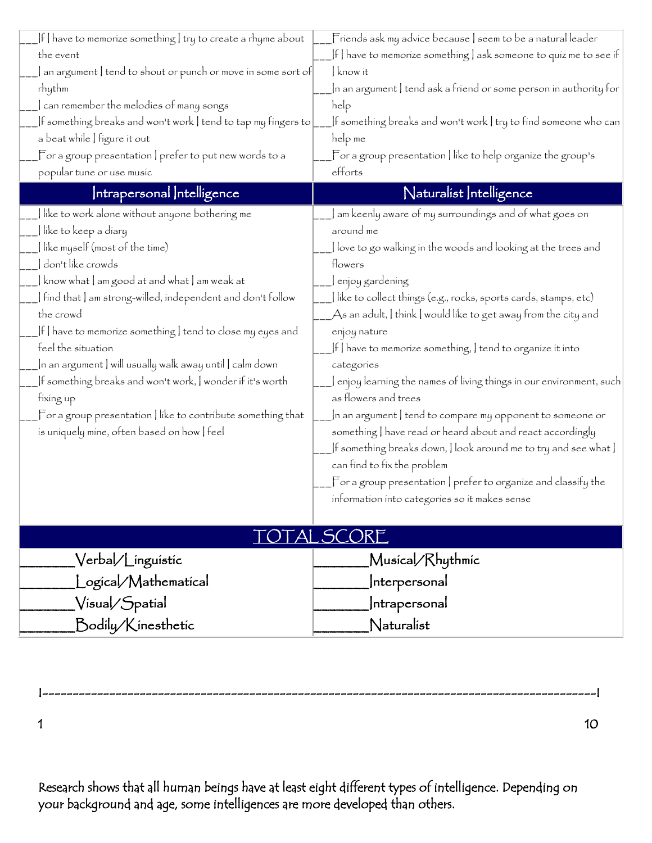| If   have to memorize something   try to create a rhyme about                                                                                                                                                  | Fríends ask my advíce because   seem to be a natural leader                                                                        |
|----------------------------------------------------------------------------------------------------------------------------------------------------------------------------------------------------------------|------------------------------------------------------------------------------------------------------------------------------------|
| the event                                                                                                                                                                                                      | If I have to memorize something I ask someone to quiz me to see if                                                                 |
| an argument   tend to shout or punch or move in some sort of                                                                                                                                                   | know it                                                                                                                            |
| rhythm                                                                                                                                                                                                         | In an argument   tend ask a fríend or some person in authoríty for                                                                 |
| can remember the melodies of many songs                                                                                                                                                                        | help                                                                                                                               |
| If something breaks and won't work $ $ tend to tap my fingers to $ $                                                                                                                                           | If something breaks and won't work   try to find someone who can                                                                   |
| a beat while   figure it out                                                                                                                                                                                   | help me                                                                                                                            |
| $\sqrt{\frac{1}{100}}$ $\sqrt{\frac{1}{100}}$ $\sqrt{\frac{1}{100}}$ $\sqrt{\frac{1}{100}}$ $\sqrt{\frac{1}{100}}$ $\sqrt{\frac{1}{100}}$ $\sqrt{\frac{1}{100}}$ $\sqrt{\frac{1}{100}}$ $\sqrt{\frac{1}{100}}$ | For a group presentation I like to help organize the group's                                                                       |
| popular tune or use music                                                                                                                                                                                      | efforts                                                                                                                            |
| Intrapersonal Intelligence                                                                                                                                                                                     | Naturalist Intelligence                                                                                                            |
| like to work alone without anyone bothering me                                                                                                                                                                 | am keenly aware of my surroundings and of what goes on                                                                             |
| like to keep a diary                                                                                                                                                                                           | around me                                                                                                                          |
| like myself (most of the time)                                                                                                                                                                                 | llove to go walking in the woods and looking at the trees and                                                                      |
| don't like crowds                                                                                                                                                                                              | flowers                                                                                                                            |
| know what am good at and what am weak at                                                                                                                                                                       | enjoy gardening                                                                                                                    |
| find that am strong-willed, independent and don't follow                                                                                                                                                       | like to collect things (e.g., rocks, sports cards, stamps, etc)                                                                    |
| the crowd                                                                                                                                                                                                      | As an adult, $ $ think $ $ would like to get away from the city and                                                                |
| If I have to memorize something I tend to close my eyes and                                                                                                                                                    | enjoy nature                                                                                                                       |
| feel the situation                                                                                                                                                                                             | If   have to memorize something,   tend to organize it into                                                                        |
| In an argument   will usually walk away until   calm down]                                                                                                                                                     | categories                                                                                                                         |
| If something breaks and won't work, I wonder if it's worth                                                                                                                                                     | enjoy learning the names of living things in our environment, such                                                                 |
| fixing up                                                                                                                                                                                                      | as flowers and trees                                                                                                               |
| $\mathop{\mathsf{For}}\nolimits$ a group presentation $\mathop{\mathsf{I}\nolimits}\nolimits$ like to contribute something that                                                                                | In an argument I tend to compare my opponent to someone or                                                                         |
| is uniquely mine, often based on how   feel                                                                                                                                                                    | something   have read or heard about and react accordingly                                                                         |
|                                                                                                                                                                                                                | [f something breaks down, ] look around me to try and see what ]                                                                   |
|                                                                                                                                                                                                                | can find to fix the problem                                                                                                        |
|                                                                                                                                                                                                                | $\overline{\Gamma}$ or a group presentation   prefer to organize and classify the<br>information into categories so it makes sense |
|                                                                                                                                                                                                                |                                                                                                                                    |
|                                                                                                                                                                                                                |                                                                                                                                    |
|                                                                                                                                                                                                                | TOTAL SCORE                                                                                                                        |
| Verbal/Linguistic                                                                                                                                                                                              | Musical/Rhythmic                                                                                                                   |
| _ogical/Mathematical                                                                                                                                                                                           | nterpersonal                                                                                                                       |
| Visual/Spatial                                                                                                                                                                                                 | ntrapersonal                                                                                                                       |
| Bodily/Kinesthetic                                                                                                                                                                                             | Naturalist                                                                                                                         |

I-------------------------------------------------------------------------------------------I

Research shows that all human beings have at least eight different types of intelligence. Depending on your background and age, some intelligences are more developed than others.

 $10$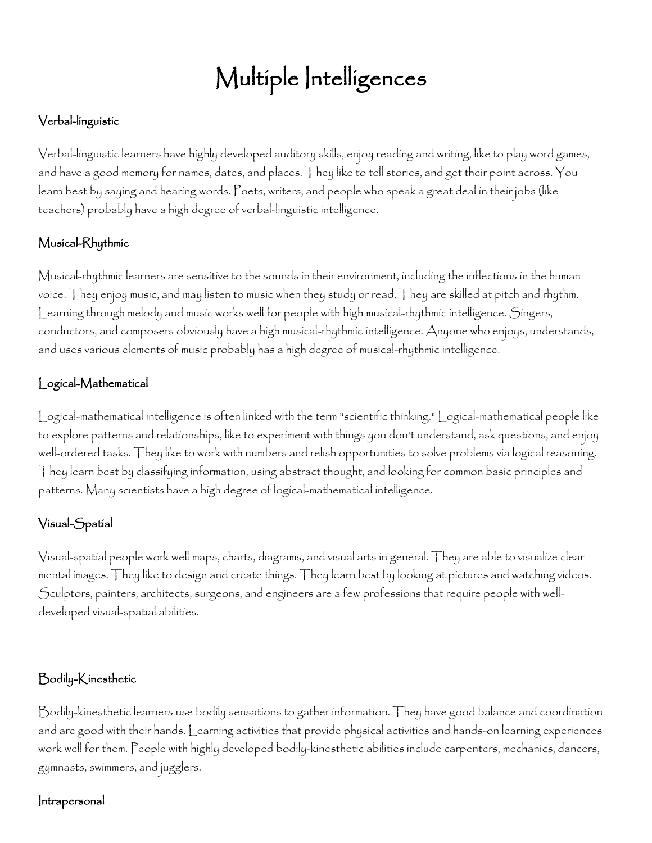# Multiple Intelligences

#### Verbal-linguistic

Verbal-linguistic learners have highly developed auditory skills, enjoy reading and writing, like to play word games, and have a good memory for names, dates, and places. They like to tell stories, and get their point across. You learn best by saying and hearing words. Poets, writers, and people who speak a great deal in their jobs (like teachers) probably have a high degree of verbal-linguistic intelligence.

### Musical-Rhythmic

Musical-rhythmic learners are sensitive to the sounds in their environment, including the inflections in the human voice. They enjoy music, and may listen to music when they study or read. They are skilled at pitch and rhythm. Learning through melody and music works well for people with high musical-rhythmic intelligence. Singers, conductors, and composers obviously have a high musical-rhythmic intelligence. Anyone who enjoys, understands, and uses various elements of music probably has a high degree of musical-rhythmic intelligence.

## Logical-Mathematical

Logical-mathematical intelligence is often linked with the term "scientific thinking." Logical-mathematical people like to explore patterns and relationships, like to experiment with things you don't understand, ask questions, and enjoy well-ordered tasks. They like to work with numbers and relish opportunities to solve problems via logical reasoning. They learn best by classifying information, using abstract thought, and looking for common basic principles and patterns. Many scientists have a high degree of logical-mathematical intelligence.

## Visual-Spatial

Visual-spatial people work well maps, charts, diagrams, and visual arts in general. They are able to visualize clear mental images. They like to design and create things. They learn best by looking at pictures and watching videos. Sculptors, painters, architects, surgeons, and engineers are a few professions that require people with welldeveloped visual-spatial abilities.

## Bodily-Kinesthetic

Bodily-kinesthetic learners use bodily sensations to gather information. They have good balance and coordination and are good with their hands. Learning activities that provide physical activities and hands-on learning experiences work well for them. People with highly developed bodily-kinesthetic abilities include carpenters, mechanics, dancers, gymnasts, swimmers, and jugglers.

#### Intrapersonal